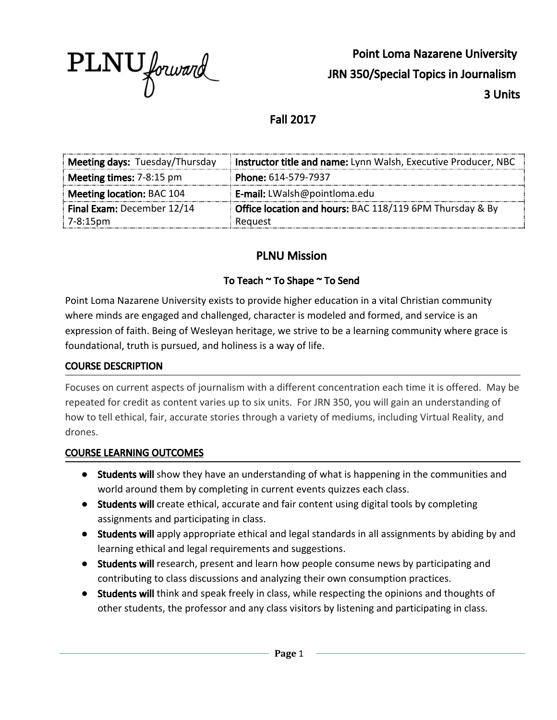

Point Loma Nazarene University JRN 350/Special Topics in Journalism 3 Units

## Fall 2017

| Meeting days: Tuesday/Thursday                                                         | Instructor title and name: Lynn Walsh, Executive Producer, NBC |
|----------------------------------------------------------------------------------------|----------------------------------------------------------------|
| <b>Meeting times:</b> $7-8:15$ pm                                                      | Phone: 614-579-7937                                            |
| Meeting location: BAC 104                                                              | <b>E-mail:</b> LWalsh@pointloma.edu                            |
| Office location and hours: BAC 118/119 6PM Thursday & By<br>Final Exam: December 12/14 |                                                                |
| $7 - 8:15 \text{pm}$                                                                   | Request                                                        |

## PLNU Mission

#### To Teach ~ To Shape ~ To Send

Point Loma Nazarene University exists to provide higher education in a vital Christian community where minds are engaged and challenged, character is modeled and formed, and service is an expression of faith. Being of Wesleyan heritage, we strive to be a learning community where grace is foundational, truth is pursued, and holiness is a way of life.

#### COURSE DESCRIPTION

Focuses on current aspects of journalism with a different concentration each time it is offered. May be repeated for credit as content varies up to six units. For JRN 350, you will gain an understanding of how to tell ethical, fair, accurate stories through a variety of mediums, including Virtual Reality, and drones.

#### COURSE LEARNING OUTCOMES

- **●** Students will show they have an understanding of what is happening in the communities and world around them by completing in current events quizzes each class.
- Students will create ethical, accurate and fair content using digital tools by completing assignments and participating in class.
- Students will apply appropriate ethical and legal standards in all assignments by abiding by and learning ethical and legal requirements and suggestions.
- Students will research, present and learn how people consume news by participating and contributing to class discussions and analyzing their own consumption practices.
- Students will think and speak freely in class, while respecting the opinions and thoughts of other students, the professor and any class visitors by listening and participating in class.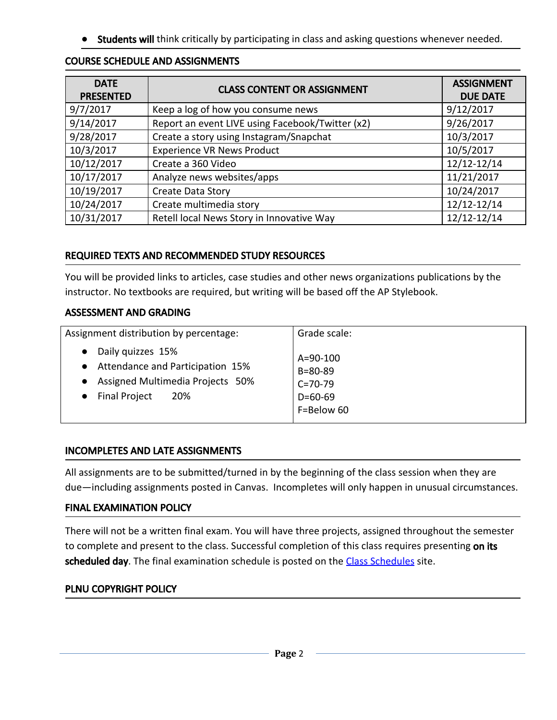**• Students will** think critically by participating in class and asking questions whenever needed.

| <b>DATE</b><br><b>PRESENTED</b> | <b>CLASS CONTENT OR ASSIGNMENT</b>               | <b>ASSIGNMENT</b><br><b>DUE DATE</b> |
|---------------------------------|--------------------------------------------------|--------------------------------------|
| 9/7/2017                        | Keep a log of how you consume news               | 9/12/2017                            |
| 9/14/2017                       | Report an event LIVE using Facebook/Twitter (x2) | 9/26/2017                            |
| 9/28/2017                       | Create a story using Instagram/Snapchat          | 10/3/2017                            |
| 10/3/2017                       | <b>Experience VR News Product</b>                | 10/5/2017                            |
| 10/12/2017                      | Create a 360 Video                               | 12/12-12/14                          |
| 10/17/2017                      | Analyze news websites/apps                       | 11/21/2017                           |
| 10/19/2017                      | Create Data Story                                | 10/24/2017                           |
| 10/24/2017                      | Create multimedia story                          | 12/12-12/14                          |
| 10/31/2017                      | Retell local News Story in Innovative Way        | 12/12-12/14                          |

### REQUIRED TEXTS AND RECOMMENDED STUDY RESOURCES

You will be provided links to articles, case studies and other news organizations publications by the instructor. No textbooks are required, but writing will be based off the AP Stylebook.

#### ASSESSMENT AND GRADING

| Assignment distribution by percentage: | Grade scale:   |
|----------------------------------------|----------------|
| Daily quizzes 15%                      | $A = 90 - 100$ |
| • Attendance and Participation 15%     | $B = 80 - 89$  |
| • Assigned Multimedia Projects 50%     | $C = 70 - 79$  |
| • Final Project                        | $D = 60 - 69$  |
| 20%                                    | F=Below 60     |

### INCOMPLETES AND LATE ASSIGNMENTS

All assignments are to be submitted/turned in by the beginning of the class session when they are due—including assignments posted in Canvas. Incompletes will only happen in unusual circumstances.

### FINAL EXAMINATION POLICY

There will not be a written final exam. You will have three projects, assigned throughout the semester to complete and present to the class. Successful completion of this class requires presenting on its scheduled day. The final examination schedule is posted on the Class [Schedules](http://www.pointloma.edu/experience/academics/class-schedules) site.

### PLNU COPYRIGHT POLICY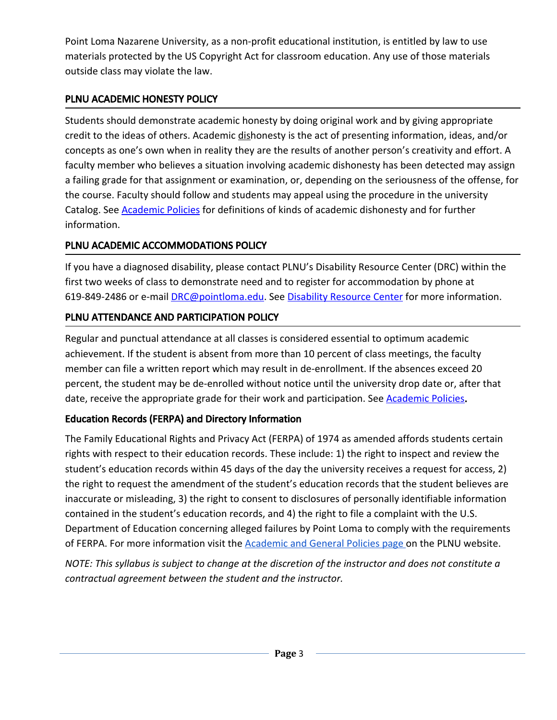Point Loma Nazarene University, as a non-profit educational institution, is entitled by law to use materials protected by the US Copyright Act for classroom education. Any use of those materials outside class may violate the law.

## PLNU ACADEMIC HONESTY POLICY

Students should demonstrate academic honesty by doing original work and by giving appropriate credit to the ideas of others. Academic dishonesty is the act of presenting information, ideas, and/or concepts as one's own when in reality they are the results of another person's creativity and effort. A faculty member who believes a situation involving academic dishonesty has been detected may assign a failing grade for that assignment or examination, or, depending on the seriousness of the offense, for the course. Faculty should follow and students may appeal using the procedure in the university Catalog. See **[Academic](http://catalog.pointloma.edu/content.php?catoid=18&navoid=1278) Policies** for definitions of kinds of academic dishonesty and for further information.

## PLNU ACADEMIC ACCOMMODATIONS POLICY

If you have a diagnosed disability, please contact PLNU's Disability Resource Center (DRC) within the first two weeks of class to demonstrate need and to register for accommodation by phone at 619-849-2486 or e-mail **[DRC@pointloma.edu.](mailto:DRC@pointloma.edu)** See Disability [Resource](http://www.pointloma.edu/experience/offices/administrative-offices/academic-advising-office/disability-resource-center) Center for more information.

## PLNU ATTENDANCE AND PARTICIPATION POLICY

Regular and punctual attendance at all classes is considered essential to optimum academic achievement. If the student is absent from more than 10 percent of class meetings, the faculty member can file a written report which may result in de-enrollment. If the absences exceed 20 percent, the student may be de-enrolled without notice until the university drop date or, after that date, receive the appropriate grade for their work and participation. See [Academic](http://catalog.pointloma.edu/content.php?catoid=18&navoid=1278) Policies.

# Education Records (FERPA) and Directory Information

The Family Educational Rights and Privacy Act (FERPA) of 1974 as amended affords students certain rights with respect to their education records. These include: 1) the right to inspect and review the student's education records within 45 days of the day the university receives a request for access, 2) the right to request the amendment of the student's education records that the student believes are inaccurate or misleading, 3) the right to consent to disclosures of personally identifiable information contained in the student's education records, and 4) the right to file a complaint with the U.S. Department of Education concerning alleged failures by Point Loma to comply with the requirements of FERPA. For more information visit the **[Academic](https://catalog.pointloma.edu/content.php?catoid=18&navoid=1278#Education_Records__FERPA__and_Directory_Information) and General Policies page** on the PLNU website.

NOTE: This syllabus is subject to change at the discretion of the instructor and does not constitute a *contractual agreement between the student and the instructor.*